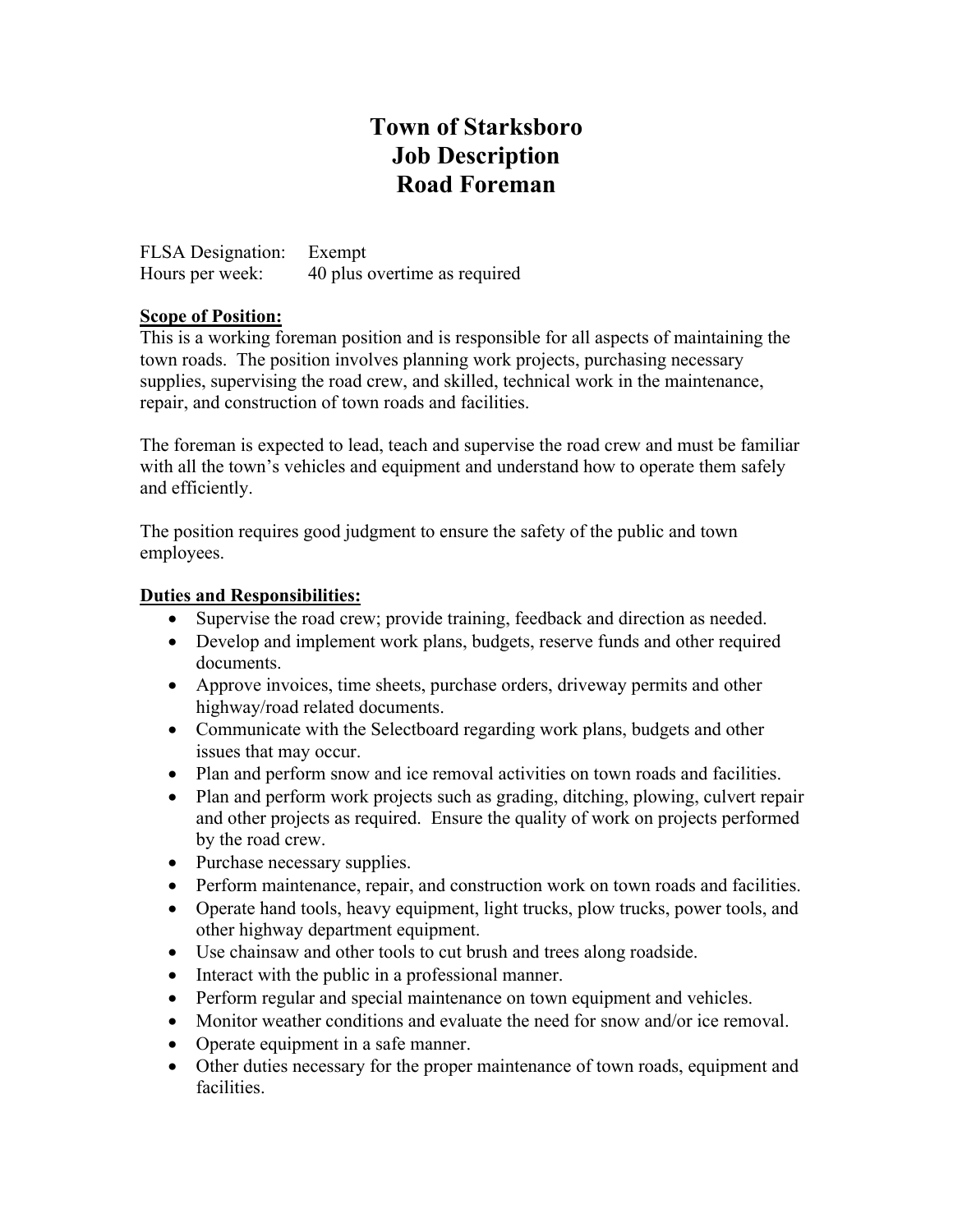# **Town of Starksboro Job Description Road Foreman**

FLSA Designation: Exempt<br>Hours per week: 40 plus 40 plus overtime as required

### **Scope of Position:**

This is a working foreman position and is responsible for all aspects of maintaining the town roads. The position involves planning work projects, purchasing necessary supplies, supervising the road crew, and skilled, technical work in the maintenance, repair, and construction of town roads and facilities.

The foreman is expected to lead, teach and supervise the road crew and must be familiar with all the town's vehicles and equipment and understand how to operate them safely and efficiently.

The position requires good judgment to ensure the safety of the public and town employees.

### **Duties and Responsibilities:**

- Supervise the road crew; provide training, feedback and direction as needed.
- Develop and implement work plans, budgets, reserve funds and other required documents.
- Approve invoices, time sheets, purchase orders, driveway permits and other highway/road related documents.
- Communicate with the Selectboard regarding work plans, budgets and other issues that may occur.
- Plan and perform snow and ice removal activities on town roads and facilities.
- Plan and perform work projects such as grading, ditching, plowing, culvert repair and other projects as required. Ensure the quality of work on projects performed by the road crew.
- Purchase necessary supplies.
- Perform maintenance, repair, and construction work on town roads and facilities.
- Operate hand tools, heavy equipment, light trucks, plow trucks, power tools, and other highway department equipment.
- Use chainsaw and other tools to cut brush and trees along roadside.
- Interact with the public in a professional manner.
- Perform regular and special maintenance on town equipment and vehicles.
- Monitor weather conditions and evaluate the need for snow and/or ice removal.
- Operate equipment in a safe manner.
- Other duties necessary for the proper maintenance of town roads, equipment and facilities.